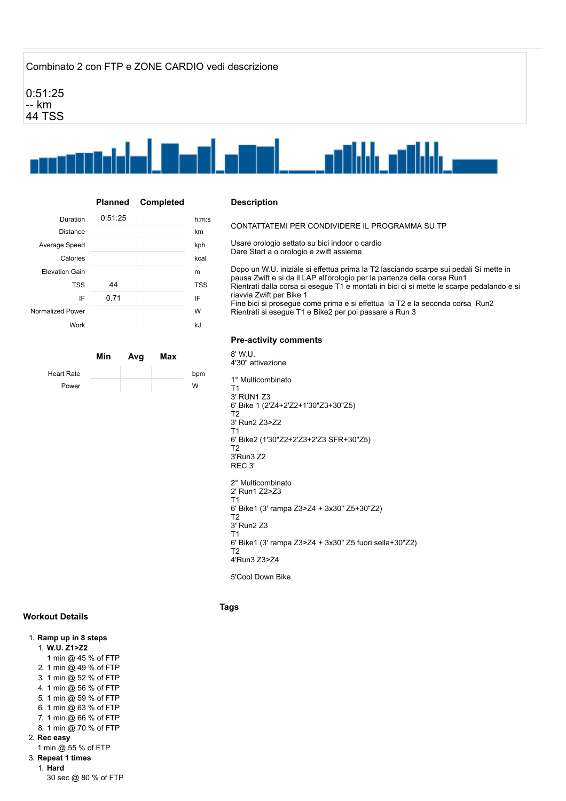# Combinato 2 con FTP e ZONE CARDIO vedi descrizione

0:51:25 -- km 44 TSS



|                       | Planned | <b>Completed</b> |       |
|-----------------------|---------|------------------|-------|
| Duration              | 0:51:25 |                  | h:m:s |
| Distance              |         |                  | km    |
| Average Speed         |         |                  | kph   |
| Calories              |         |                  | kcal  |
| <b>Elevation Gain</b> |         |                  | m     |
| <b>TSS</b>            | 44      |                  | TSS   |
| IF                    | 0.71    |                  | ΙF    |
| Normalized Power      |         |                  | W     |
| Work                  |         |                  | kJ    |

|            | Min | Avg | Max |     |
|------------|-----|-----|-----|-----|
| Heart Rate |     |     |     | bpm |
| Power      |     |     |     | W   |

#### **Description**

CONTATTATEMI PER CONDIVIDERE IL PROGRAMMA SU TP

Usare orologio settato su bici indoor o cardio Dare Start a o orologio e zwift assieme

Dopo un W.U. iniziale si effettua prima la T2 lasciando scarpe sui pedali Si mette in pausa Zwift e si da il LAP all'orologio per la partenza della corsa Run1 Rientrati dalla corsa si esegue T1 e montati in bici ci si mette le scarpe pedalando e si riavvia Zwift per Bike 1 Fine bici si prosegue come prima e si effettua la T2 e la seconda corsa Run2 Rientrati si esegue T1 e Bike2 per poi passare a Run 3

## **Pre-activity comments**

8' W.U. 4'30" attivazione 1° Multicombinato T1 3' RUN1 Z3 6' Bike 1 (2'Z4+2'Z2+1'30"Z3+30"Z5) T2 3' Run2 Z3>Z2 T1 6' Bike2 (1'30"Z2+2'Z3+2'Z3 SFR+30"Z5) T2 3'Run3 Z2 REC 3' 2° Multicombinato 2' Run1 Z2>Z3 T1 6' Bike1 (3' rampa Z3>Z4 + 3x30" Z5+30"Z2) T2 3' Run2 Z3 T1 6' Bike1 (3' rampa Z3>Z4 + 3x30" Z5 fuori sella+30"Z2) T2 4'Run3 Z3>Z4

5'Cool Down Bike

#### **Tags**

## **Workout Details**

### 1. **Ramp up in 8 steps**

1. **W.U. Z1>Z2**

- 1 min @ 45 % of FTP
- 2. 1 min @ 49 % of FTP
- 3. 1 min @ 52 % of FTP
- 4. 1 min @ 56 % of FTP
- 5. 1 min @ 59 % of FTP
- 6. 1 min @ 63 % of FTP
- 7. 1 min @ 66 % of FTP
- 8. 1 min @ 70 % of FTP
- 2. **Rec easy**
- 1 min @ 55 % of FTP
- 3. **Repeat 1 times**
	- 1. **Hard**

30 sec @ 80 % of FTP